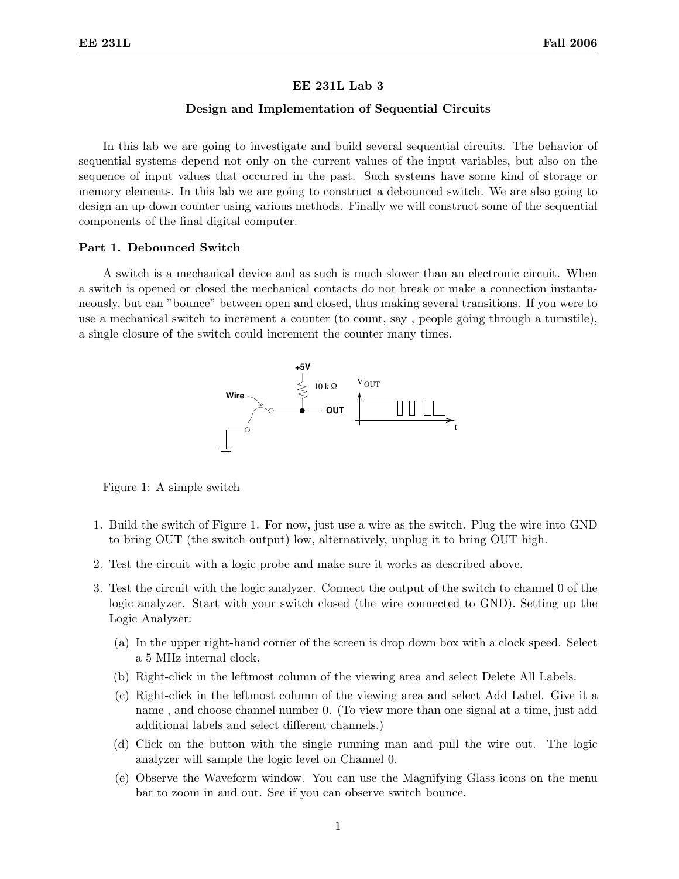### EE 231L Lab 3

# Design and Implementation of Sequential Circuits

In this lab we are going to investigate and build several sequential circuits. The behavior of sequential systems depend not only on the current values of the input variables, but also on the sequence of input values that occurred in the past. Such systems have some kind of storage or memory elements. In this lab we are going to construct a debounced switch. We are also going to design an up-down counter using various methods. Finally we will construct some of the sequential components of the final digital computer.

### Part 1. Debounced Switch

A switch is a mechanical device and as such is much slower than an electronic circuit. When a switch is opened or closed the mechanical contacts do not break or make a connection instantaneously, but can "bounce" between open and closed, thus making several transitions. If you were to use a mechanical switch to increment a counter (to count, say , people going through a turnstile), a single closure of the switch could increment the counter many times.



Figure 1: A simple switch

- 1. Build the switch of Figure 1. For now, just use a wire as the switch. Plug the wire into GND to bring OUT (the switch output) low, alternatively, unplug it to bring OUT high.
- 2. Test the circuit with a logic probe and make sure it works as described above.
- 3. Test the circuit with the logic analyzer. Connect the output of the switch to channel 0 of the logic analyzer. Start with your switch closed (the wire connected to GND). Setting up the Logic Analyzer:
	- (a) In the upper right-hand corner of the screen is drop down box with a clock speed. Select a 5 MHz internal clock.
	- (b) Right-click in the leftmost column of the viewing area and select Delete All Labels.
	- (c) Right-click in the leftmost column of the viewing area and select Add Label. Give it a name , and choose channel number 0. (To view more than one signal at a time, just add additional labels and select different channels.)
	- (d) Click on the button with the single running man and pull the wire out. The logic analyzer will sample the logic level on Channel 0.
	- (e) Observe the Waveform window. You can use the Magnifying Glass icons on the menu bar to zoom in and out. See if you can observe switch bounce.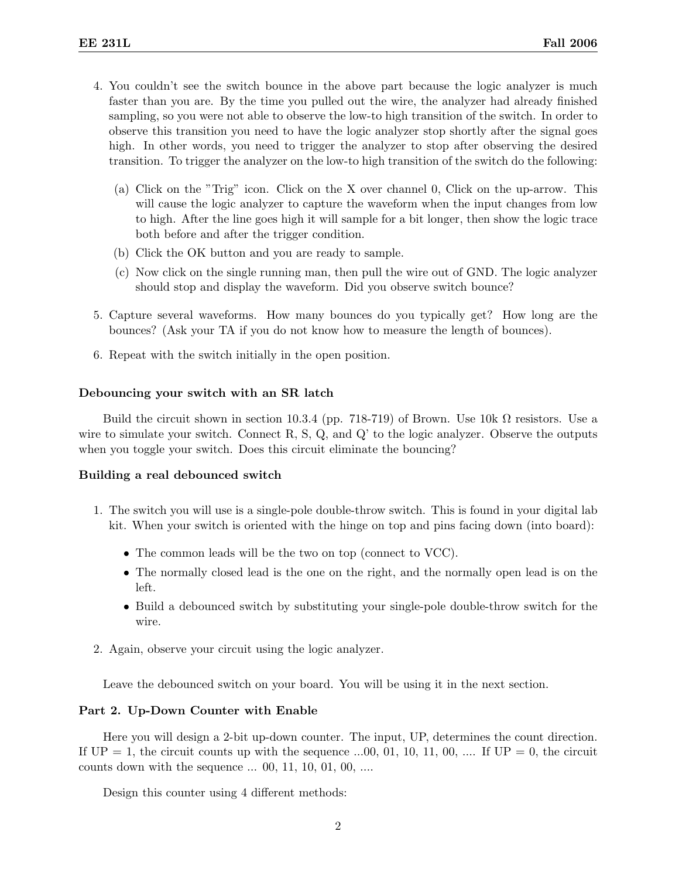- 4. You couldn't see the switch bounce in the above part because the logic analyzer is much faster than you are. By the time you pulled out the wire, the analyzer had already finished sampling, so you were not able to observe the low-to high transition of the switch. In order to observe this transition you need to have the logic analyzer stop shortly after the signal goes high. In other words, you need to trigger the analyzer to stop after observing the desired transition. To trigger the analyzer on the low-to high transition of the switch do the following:
	- (a) Click on the "Trig" icon. Click on the X over channel 0, Click on the up-arrow. This will cause the logic analyzer to capture the waveform when the input changes from low to high. After the line goes high it will sample for a bit longer, then show the logic trace both before and after the trigger condition.
	- (b) Click the OK button and you are ready to sample.
	- (c) Now click on the single running man, then pull the wire out of GND. The logic analyzer should stop and display the waveform. Did you observe switch bounce?
- 5. Capture several waveforms. How many bounces do you typically get? How long are the bounces? (Ask your TA if you do not know how to measure the length of bounces).
- 6. Repeat with the switch initially in the open position.

### Debouncing your switch with an SR latch

Build the circuit shown in section 10.3.4 (pp. 718-719) of Brown. Use  $10k \Omega$  resistors. Use a wire to simulate your switch. Connect  $R$ ,  $S$ ,  $Q$ , and  $Q'$  to the logic analyzer. Observe the outputs when you toggle your switch. Does this circuit eliminate the bouncing?

# Building a real debounced switch

- 1. The switch you will use is a single-pole double-throw switch. This is found in your digital lab kit. When your switch is oriented with the hinge on top and pins facing down (into board):
	- The common leads will be the two on top (connect to VCC).
	- The normally closed lead is the one on the right, and the normally open lead is on the left.
	- Build a debounced switch by substituting your single-pole double-throw switch for the wire.
- 2. Again, observe your circuit using the logic analyzer.

Leave the debounced switch on your board. You will be using it in the next section.

## Part 2. Up-Down Counter with Enable

Here you will design a 2-bit up-down counter. The input, UP, determines the count direction. If  $UP = 1$ , the circuit counts up with the sequence ...00, 01, 10, 11, 00, .... If  $UP = 0$ , the circuit counts down with the sequence ... 00, 11, 10, 01, 00, ....

Design this counter using 4 different methods: